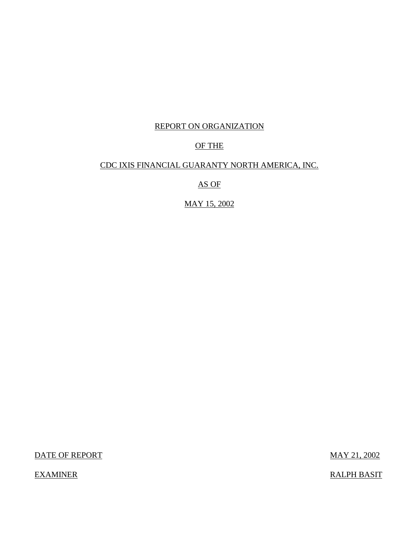# REPORT ON ORGANIZATION

# OF THE

# CDC IXIS FINANCIAL GUARANTY NORTH AMERICA, INC.

AS OF

MAY 15, 2002

DATE OF REPORT MAY 21, 2002

EXAMINER RALPH BASIT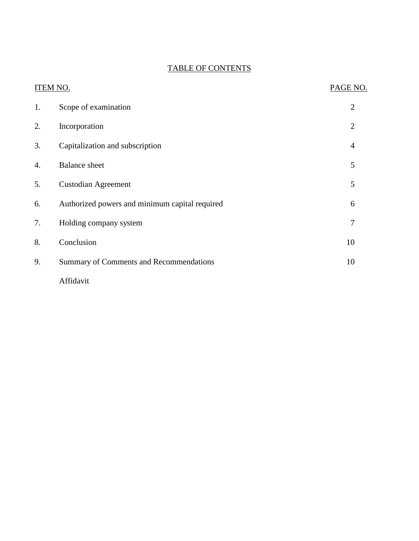# TABLE OF CONTENTS

| <b>ITEM NO.</b> | PAGE NO.                                       |                |
|-----------------|------------------------------------------------|----------------|
| 1.              | Scope of examination                           | $\overline{2}$ |
| 2.              | Incorporation                                  | $\overline{2}$ |
| 3.              | Capitalization and subscription                | $\overline{4}$ |
| 4.              | <b>Balance</b> sheet                           | 5              |
| 5.              | <b>Custodian Agreement</b>                     | 5              |
| 6.              | Authorized powers and minimum capital required | 6              |
| 7.              | Holding company system                         | $\overline{7}$ |
| 8.              | Conclusion                                     | 10             |
| 9.              | Summary of Comments and Recommendations        | 10             |
|                 | Affidavit                                      |                |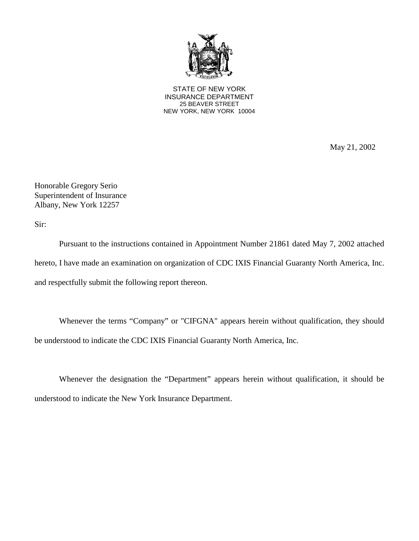

STATE OF NEW YORK INSURANCE DEPARTMENT 25 BEAVER STREET NEW YORK, NEW YORK 10004

May 21, 2002

Honorable Gregory Serio Superintendent of Insurance Albany, New York 12257

Sir:

Pursuant to the instructions contained in Appointment Number 21861 dated May 7, 2002 attached hereto, I have made an examination on organization of CDC IXIS Financial Guaranty North America, Inc. and respectfully submit the following report thereon.

Whenever the terms "Company" or "CIFGNA" appears herein without qualification, they should be understood to indicate the CDC IXIS Financial Guaranty North America, Inc.

Whenever the designation the "Department" appears herein without qualification, it should be understood to indicate the New York Insurance Department.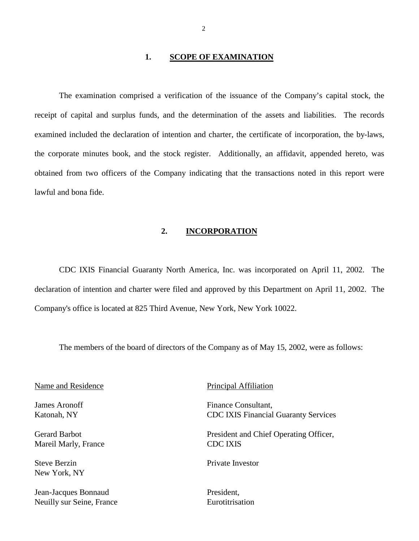### **1. SCOPE OF EXAMINATION**

 obtained from two officers of the Company indicating that the transactions noted in this report were The examination comprised a verification of the issuance of the Company's capital stock, the receipt of capital and surplus funds, and the determination of the assets and liabilities. The records examined included the declaration of intention and charter, the certificate of incorporation, the by-laws, the corporate minutes book, and the stock register. Additionally, an affidavit, appended hereto, was lawful and bona fide.

#### **2. INCORPORATION**

CDC IXIS Financial Guaranty North America, Inc. was incorporated on April 11, 2002. The declaration of intention and charter were filed and approved by this Department on April 11, 2002. The Company's office is located at 825 Third Avenue, New York, New York 10022.

The members of the board of directors of the Company as of May 15, 2002, were as follows:

Name and Residence Principal Affiliation

James Aronoff Katonah, NY

Gerard Barbot Mareil Marly, France

Steve Berzin New York, NY

Jean-Jacques Bonnaud Neuilly sur Seine, France

Finance Consultant, CDC IXIS Financial Guaranty Services

President and Chief Operating Officer, CDC IXIS

Private Investor

President, **Eurotitrisation**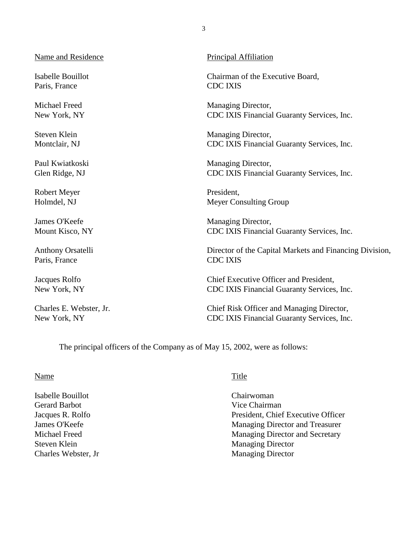Name and Residence Principal Affiliation

Paris, France CDC IXIS

Robert Meyer President,

Paris, France CDC IXIS

Isabelle Bouillot Chairman of the Executive Board,

Michael Freed Managing Director, New York, NY CDC IXIS Financial Guaranty Services, Inc.

Steven Klein Managing Director, Montclair, NJ CDC IXIS Financial Guaranty Services, Inc.

Paul Kwiatkoski Managing Director, Glen Ridge, NJ CDC IXIS Financial Guaranty Services, Inc.

Holmdel, NJ Meyer Consulting Group

James O'Keefe Managing Director, Mount Kisco, NY CDC IXIS Financial Guaranty Services, Inc.

Anthony Orsatelli Director of the Capital Markets and Financing Division,

Jacques Rolfo Chief Executive Officer and President, New York, NY CDC IXIS Financial Guaranty Services, Inc.

Charles E. Webster, Jr. Chief Risk Officer and Managing Director, New York, NY CDC IXIS Financial Guaranty Services, Inc.

The principal officers of the Company as of May 15, 2002, were as follows:

#### Name Title

Isabelle Bouillot Chairwoman Gerard Barbot **Gerard Barbot Constanting Constanting Constanting Constanting Constanting Constanting Constanting Constanting Constanting Constanting Constanting Constanting Constanting Constanting Constanting Constanting** 

Jacques R. Rolfo President, Chief Executive Officer James O'Keefe Managing Director and Treasurer Michael Freed Managing Director and Secretary Steven Klein Managing Director Charles Webster, Jr Managing Director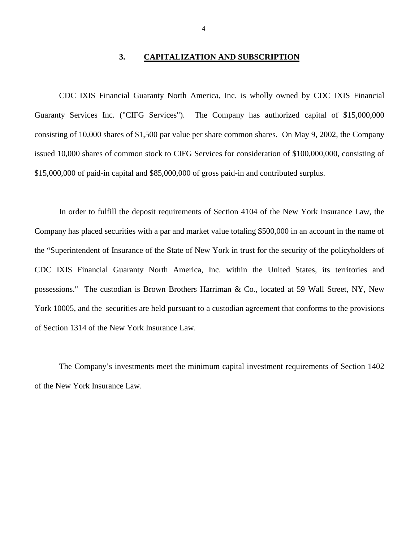### **3. CAPITALIZATION AND SUBSCRIPTION**

<span id="page-5-0"></span> CDC IXIS Financial Guaranty North America, Inc. is wholly owned by CDC IXIS Financial consisting of 10,000 shares of \$1,500 par value per share common shares. On May 9, 2002, the Company Guaranty Services Inc. ("CIFG Services"). The Company has authorized capital of \$15,000,000 issued 10,000 shares of common stock to CIFG Services for consideration of \$100,000,000, consisting of \$15,000,000 of paid-in capital and \$85,000,000 of gross paid-in and contributed surplus.

In order to fulfill the deposit requirements of Section 4104 of the New York Insurance Law, the Company has placed securities with a par and market value totaling \$500,000 in an account in the name of the "Superintendent of Insurance of the State of New York in trust for the security of the policyholders of CDC IXIS Financial Guaranty North America, Inc. within the United States, its territories and possessions." The custodian is Brown Brothers Harriman & Co., located at 59 Wall Street, NY, New York 10005, and the securities are held pursuant to a custodian agreement that conforms to the provisions of Section 1314 of the New York Insurance Law.

The Company's investments meet the minimum capital investment requirements of Section 1402 of the New York Insurance Law.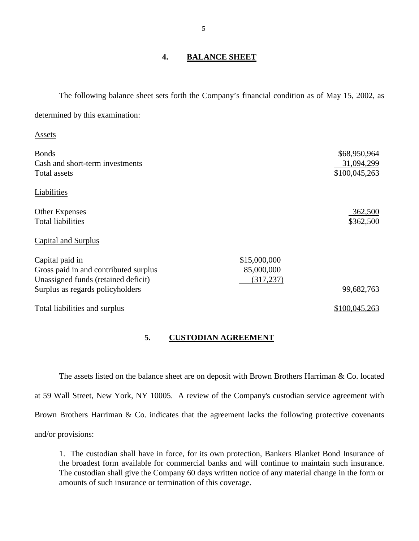# **4. BALANCE SHEET**

The following balance sheet sets forth the Company's financial condition as of May 15, 2002, as determined by this examination:

| Assets                                |              |               |
|---------------------------------------|--------------|---------------|
| <b>Bonds</b>                          |              | \$68,950,964  |
| Cash and short-term investments       |              | 31,094,299    |
| Total assets                          |              | \$100,045,263 |
| Liabilities                           |              |               |
| <b>Other Expenses</b>                 |              | 362,500       |
| <b>Total liabilities</b>              |              | \$362,500     |
| Capital and Surplus                   |              |               |
| Capital paid in                       | \$15,000,000 |               |
| Gross paid in and contributed surplus | 85,000,000   |               |
| Unassigned funds (retained deficit)   | (317, 237)   |               |
| Surplus as regards policyholders      |              | 99,682,763    |
| Total liabilities and surplus         |              | \$100,045,263 |

#### **5. CUSTODIAN AGREEMENT**

The assets listed on the balance sheet are on deposit with Brown Brothers Harriman & Co. located at 59 Wall Street, New York, NY 10005. A review of the Company's custodian service agreement with Brown Brothers Harriman & Co. indicates that the agreement lacks the following protective covenants and/or provisions:

 the broadest form available for commercial banks and will continue to maintain such insurance. The custodian shall give the Company 60 days written notice of any material change in the form or 1. The custodian shall have in force, for its own protection, Bankers Blanket Bond Insurance of amounts of such insurance or termination of this coverage.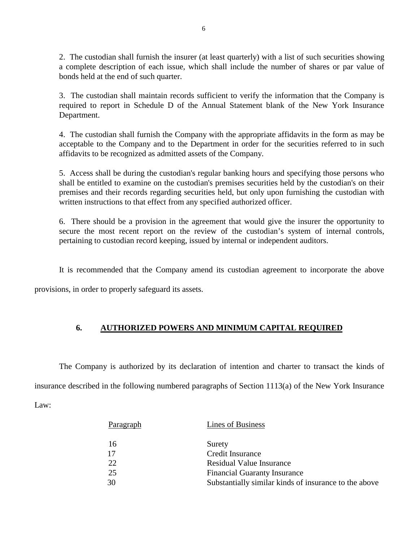<span id="page-7-0"></span> 2. The custodian shall furnish the insurer (at least quarterly) with a list of such securities showing a complete description of each issue, which shall include the number of shares or par value of bonds held at the end of such quarter.

 3. The custodian shall maintain records sufficient to verify the information that the Company is required to report in Schedule D of the Annual Statement blank of the New York Insurance Department.

 4. The custodian shall furnish the Company with the appropriate affidavits in the form as may be acceptable to the Company and to the Department in order for the securities referred to in such affidavits to be recognized as admitted assets of the Company.

 shall be entitled to examine on the custodian's premises securities held by the custodian's on their 5. Access shall be during the custodian's regular banking hours and specifying those persons who premises and their records regarding securities held, but only upon furnishing the custodian with written instructions to that effect from any specified authorized officer.

 secure the most recent report on the review of the custodian's system of internal controls, 6. There should be a provision in the agreement that would give the insurer the opportunity to pertaining to custodian record keeping, issued by internal or independent auditors.

It is recommended that the Company amend its custodian agreement to incorporate the above

provisions, in order to properly safeguard its assets.

# **6. AUTHORIZED POWERS AND MINIMUM CAPITAL REQUIRED**

 The Company is authorized by its declaration of intention and charter to transact the kinds of insurance described in the following numbered paragraphs of Section 1113(a) of the New York Insurance Law:

| Paragraph | Lines of Business                                     |
|-----------|-------------------------------------------------------|
| 16        | Surety                                                |
| 17        | Credit Insurance                                      |
| 22        | <b>Residual Value Insurance</b>                       |
| 25        | <b>Financial Guaranty Insurance</b>                   |
| 30        | Substantially similar kinds of insurance to the above |
|           |                                                       |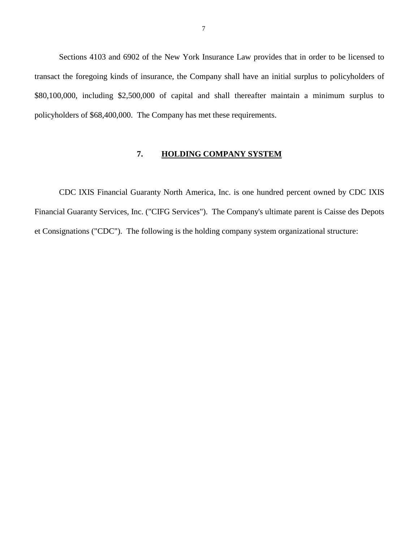<span id="page-8-0"></span> transact the foregoing kinds of insurance, the Company shall have an initial surplus to policyholders of Sections 4103 and 6902 of the New York Insurance Law provides that in order to be licensed to \$80,100,000, including \$2,500,000 of capital and shall thereafter maintain a minimum surplus to policyholders of \$68,400,000. The Company has met these requirements.

# **7. HOLDING COMPANY SYSTEM**

CDC IXIS Financial Guaranty North America, Inc. is one hundred percent owned by CDC IXIS Financial Guaranty Services, Inc. ("CIFG Services"). The Company's ultimate parent is Caisse des Depots et Consignations ("CDC"). The following is the holding company system organizational structure: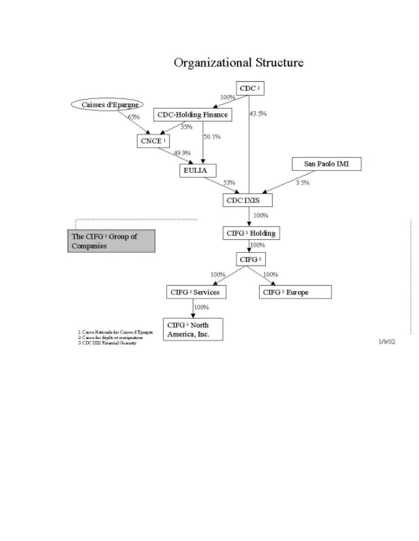

# Organizational Structure

1/9/02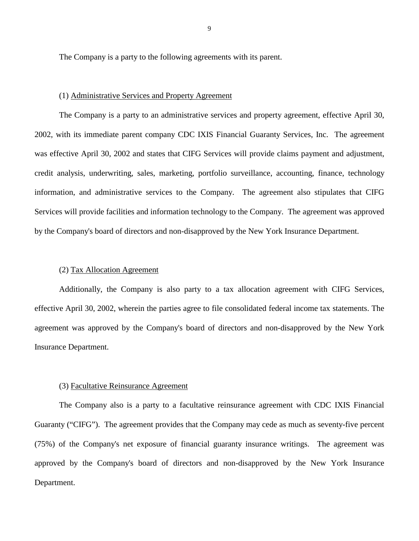The Company is a party to the following agreements with its parent.

#### (1) Administrative Services and Property Agreement

 The Company is a party to an administrative services and property agreement, effective April 30, Services will provide facilities and information technology to the Company. The agreement was approved 2002, with its immediate parent company CDC IXIS Financial Guaranty Services, Inc. The agreement was effective April 30, 2002 and states that CIFG Services will provide claims payment and adjustment, credit analysis, underwriting, sales, marketing, portfolio surveillance, accounting, finance, technology information, and administrative services to the Company. The agreement also stipulates that CIFG by the Company's board of directors and non-disapproved by the New York Insurance Department.

#### (2) Tax Allocation Agreement

Additionally, the Company is also party to a tax allocation agreement with CIFG Services, effective April 30, 2002, wherein the parties agree to file consolidated federal income tax statements. The agreement was approved by the Company's board of directors and non-disapproved by the New York Insurance Department.

#### (3) Facultative Reinsurance Agreement

 The Company also is a party to a facultative reinsurance agreement with CDC IXIS Financial Guaranty ("CIFG"). The agreement provides that the Company may cede as much as seventy-five percent (75%) of the Company's net exposure of financial guaranty insurance writings. The agreement was approved by the Company's board of directors and non-disapproved by the New York Insurance Department.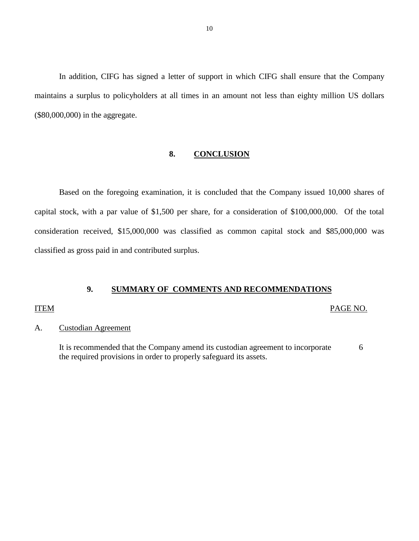<span id="page-11-0"></span>In addition, CIFG has signed a letter of support in which CIFG shall ensure that the Company maintains a surplus to policyholders at all times in an amount not less than eighty million US dollars (\$80,000,000) in the aggregate.

### **8. CONCLUSION**

Based on the foregoing examination, it is concluded that the Company issued 10,000 shares of capital stock, with a par value of \$1,500 per share, for a consideration of \$100,000,000. Of the total consideration received, \$15,000,000 was classified as common capital stock and \$85,000,000 was classified as gross paid in and contributed surplus.

#### **9. SUMMARY OF COMMENTS AND RECOMMENDATIONS**

#### ITEM PAGE NO.

### A. Custodian Agreement

It is recommended that the Company amend its custodian agreement to incorporate 6 the required provisions in order to properly safeguard its assets.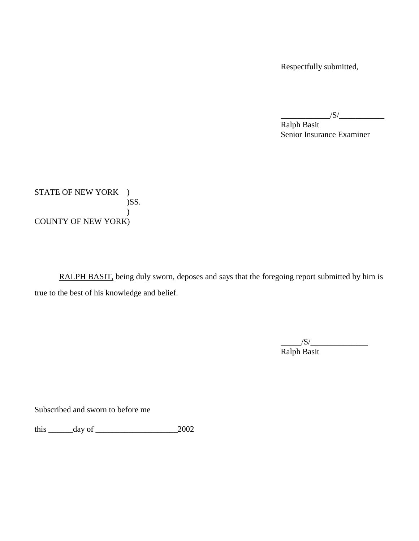Respectfully submitted,

 $\frac{|S|}{|S|}$ 

Ralph Basit Senior Insurance Examiner

STATE OF NEW YORK )  $)$ SS.  $\mathcal{L}$ COUNTY OF NEW YORK)

RALPH BASIT, being duly sworn, deposes and says that the foregoing report submitted by him is true to the best of his knowledge and belief.

> $\frac{1}{\sqrt{S}}$ Ralph Basit

Subscribed and sworn to before me

this  $\frac{day \text{ of } 2002}{x}$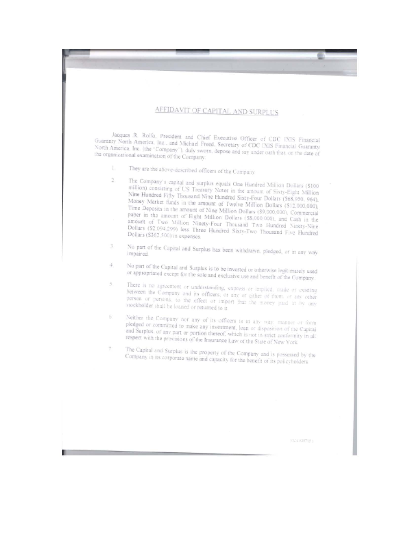# AFFIDAVIT OF CAPITAL AND SURPLUS

Jacques R. Rolfo, President and Chief Executive Officer of CDC IXIS Financial Guaranty North America, Inc., and Michael Froed, Secretary of CDC IXIS Financial Guaranty North America, Inc. (the "Company"), duly sworn, depose and say under oath that, on the date of the organizational examination of the Company.

- They are the above-described officers of the Company Ł.
- ä. The Company's capital and surplus equals One Hundred Million Dollars (\$100 million) consisting of US Treasury Notes in the amount of Sixty-Eight Million Nine Hundred Fifty Thousand Nine Hundred Sixty-Four Dollars (\$68,950, 964). Money Market funds in the amount of Twelve Million Dollars (\$12,000,000), Time Deposits in the amount of Nine Million Dollars (\$9,000,000), Commercial paper in the amount of Eight Million Dollars (\$8,000,000), and Cash in the amount of Two Million Ninety-Four Thousand Two Hundred Ninety-Nine Dollars (\$2,094,299) less Three Hundred Sixty-Two Thousand Five Hundred Dollars (\$362,500) in expenses.
- $\overline{3}$ . No part of the Capital and Surplus has been withdrawn, pledged, or in any way impaired.
- No part of the Capital and Surplus is to be invested or otherwise legitimately used ă. or appropriated except for the sole and exclusive use and benefit of the Company
- There is no agreement or understanding, express or implied, made or existing  $\tilde{S}_i$ between the Company and its officers, or any or either of them, or any other person or persons, to the effect or import that the money past in by any stockholder shall be loaned or returned to it.
- Neither the Company nor any of its officers is in any way, manner or form pledged or committed to make any investment, loan or disposition of the Capital and Surplus, or any part or portion thereof, which is not in strict conformity in all respect with the provisions of the Insurance Law of the State of New York
- Ť. The Capital and Surplus is the property of the Company and is possessed by the Company in its corporate name and capacity for the benefit of its policyholders

**SEQUESTING**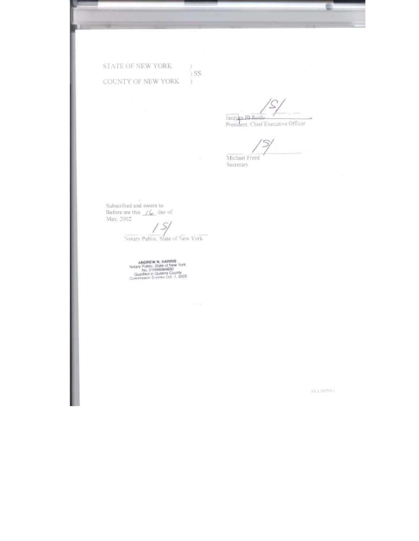STATE OF NEW YORK. COUNTY OF NEW YORK

ĸ

y.  $)$  SS:  $\mathcal{L}$ 

Jacques Ri Rolfo<br>President, Chief Executive Officer

 $\mathcal{L}$ Michael Freed

Secretary

Subscribed and sworn to<br>Before me this  $\frac{f_{\mathbf{G}}}{f_{\mathbf{G}}}$  day of<br>May, 2002

 $\sim$ 

 $\frac{1}{2}$ Notary Public, State of New York

ANDREW N. HARRIS<br>Notary Public, State of New York<br>No. 019146064690<br>Constituted in Queens County<br>Constituted Expires 0d. 1, 2005

 $77\%$  SM13.1